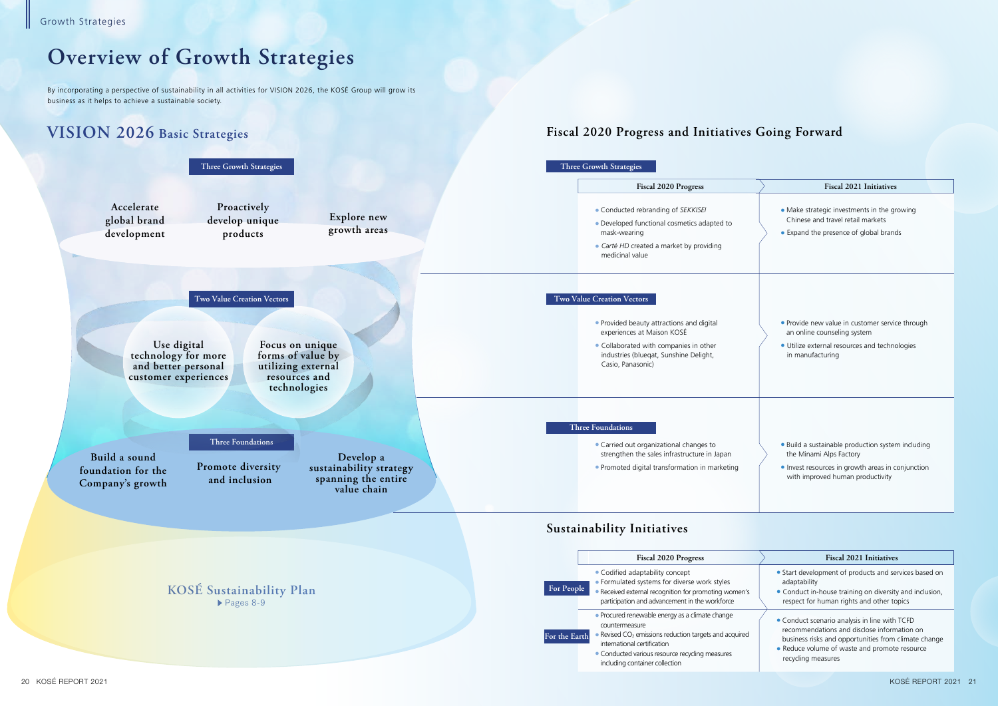## **Fiscal 2020 Progress and Initiatives Going Forward**



- 
- 
- 
- 

By incorporating a perspective of sustainability in all activities for VISION 2026, the KOSÉ Group will grow its business as it helps to achieve a sustainable society.

## **VISION 2026 Basic Strategies**

## **Overview of Growth Strategies**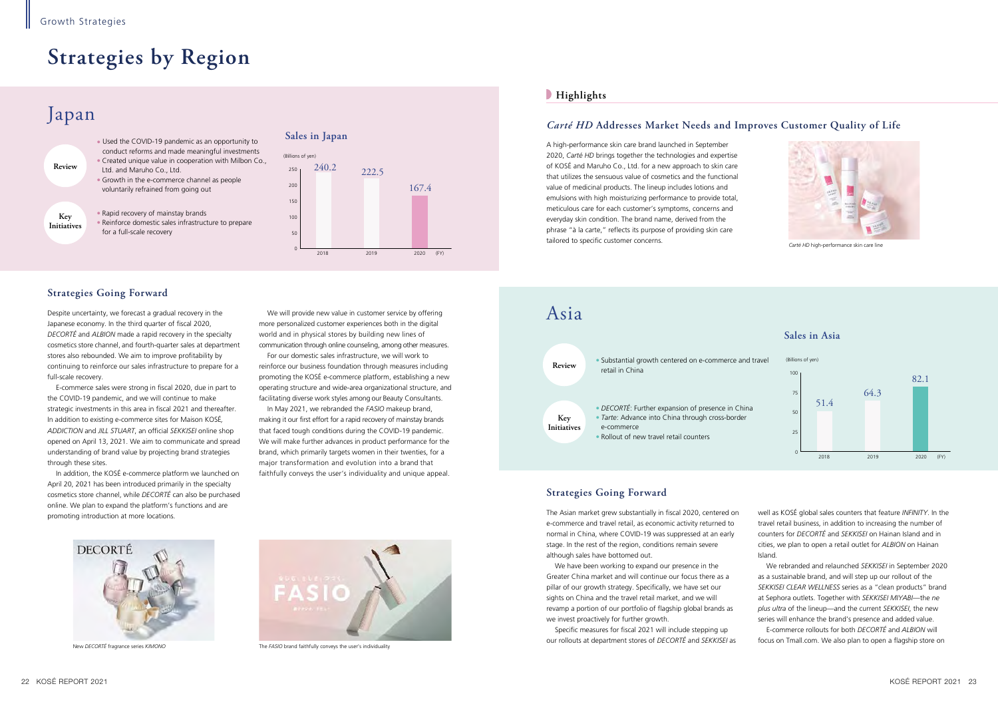# **Strategies by Region**

Despite uncertainty, we forecast a gradual recovery in the  $\rm A\,s\,i\,a$  We will provide new value in customer service by offering  $\rm A\,s\,i\,a$ Japanese economy. In the third quarter of fiscal 2020, *DECORTÉ* and *ALBION* made a rapid recovery in the specialty cosmetics store channel, and fourth-quarter sales at department stores also rebounded. We aim to improve profitability by continuing to reinforce our sales infrastructure to prepare for a full-scale recovery.

E-commerce sales were strong in fiscal 2020, due in part to the COVID-19 pandemic, and we will continue to make strategic investments in this area in fiscal 2021 and thereafter. In addition to existing e-commerce sites for Maison KOSÉ*, ADDICTION* and *JILL STUART*, an official *SEKKISEI* online shop opened on April 13, 2021. We aim to communicate and spread understanding of brand value by projecting brand strategies through these sites.

In addition, the KOSÉ e-commerce platform we launched on April 20, 2021 has been introduced primarily in the specialty cosmetics store channel, while *DECORTÉ* can also be purchased online. We plan to expand the platform's functions and are promoting introduction at more locations.

## **Strategies Going Forward**

We will provide new value in customer service by offering more personalized customer experiences both in the digital world and in physical stores by building new lines of communication through online counseling, among other measures.

For our domestic sales infrastructure, we will work to reinforce our business foundation through measures including promoting the KOSÉ e-commerce platform, establishing a new operating structure and wide-area organizational structure, and facilitating diverse work styles among our Beauty Consultants.

In May 2021, we rebranded the *FASIO* makeup brand, making it our first effort for a rapid recovery of mainstay brands that faced tough conditions during the COVID-19 pandemic. We will make further advances in product performance for the brand, which primarily targets women in their twenties, for a major transformation and evolution into a brand that faithfully conveys the user's individuality and unique appeal.



New *DECORTÉ* fragrance series *KIMONO* The *FASIO* brand faithfully conveys the user's individuality

- Used the COVID-19 pandemic as an opportunity to conduct reforms and made meaningful investments
- Created unique value in cooperation with Milbon Co.,
- Ltd. and Maruho Co., Ltd. • Growth in the e-commerce channel as people voluntarily refrained from going out
- Rapid recovery of mainstay brands ● Reinforce domestic sales infrastructure to prepare for a full-scale recovery

The Asian market grew substantially in fiscal 2020, centered on e-commerce and travel retail, as economic activity returned to normal in China, where COVID-19 was suppressed at an early stage. In the rest of the region, conditions remain severe although sales have bottomed out.

We have been working to expand our presence in the Greater China market and will continue our focus there as a pillar of our growth strategy. Specifically, we have set our sights on China and the travel retail market, and we will revamp a portion of our portfolio of flagship global brands as we invest proactively for further growth.

Specific measures for fiscal 2021 will include stepping up our rollouts at department stores of *DECORTÉ* and *SEKKISEI* as





## **Strategies Going Forward**

well as KOSÉ global sales counters that feature *INFINITY*. In the travel retail business, in addition to increasing the number of counters for *DECORTÉ* and *SEKKISEI* on Hainan Island and in cities, we plan to open a retail outlet for *ALBION* on Hainan Island.

We rebranded and relaunched *SEKKISEI* in September 2020 as a sustainable brand, and will step up our rollout of the *SEKKISEI CLEAR WELLNESS* series as a "clean products" brand at Sephora outlets. Together with *SEKKISEI MIYABI*—the *ne plus ultra* of the lineup—and the current *SEKKISEI*, the new series will enhance the brand's presence and added value.

E-commerce rollouts for both *DECORTÉ* and *ALBION* will focus on Tmall.com. We also plan to open a flagship store on

*Carté HD* high-performance skin care line

A high-performance skin care brand launched in September 2020, *Carté HD* brings together the technologies and expertise of KOSÉ and Maruho Co., Ltd. for a new approach to skin care that utilizes the sensuous value of cosmetics and the functional value of medicinal products. The lineup includes lotions and emulsions with high moisturizing performance to provide total, meticulous care for each customer's symptoms, concerns and everyday skin condition. The brand name, derived from the phrase "à la carte," reflects its purpose of providing skin care tailored to specific customer concerns.

## *Carté HD* **Addresses Market Needs and Improves Customer Quality of Life**



## **D** Highlights

**Review**

**Key Initiatives**

## Japan

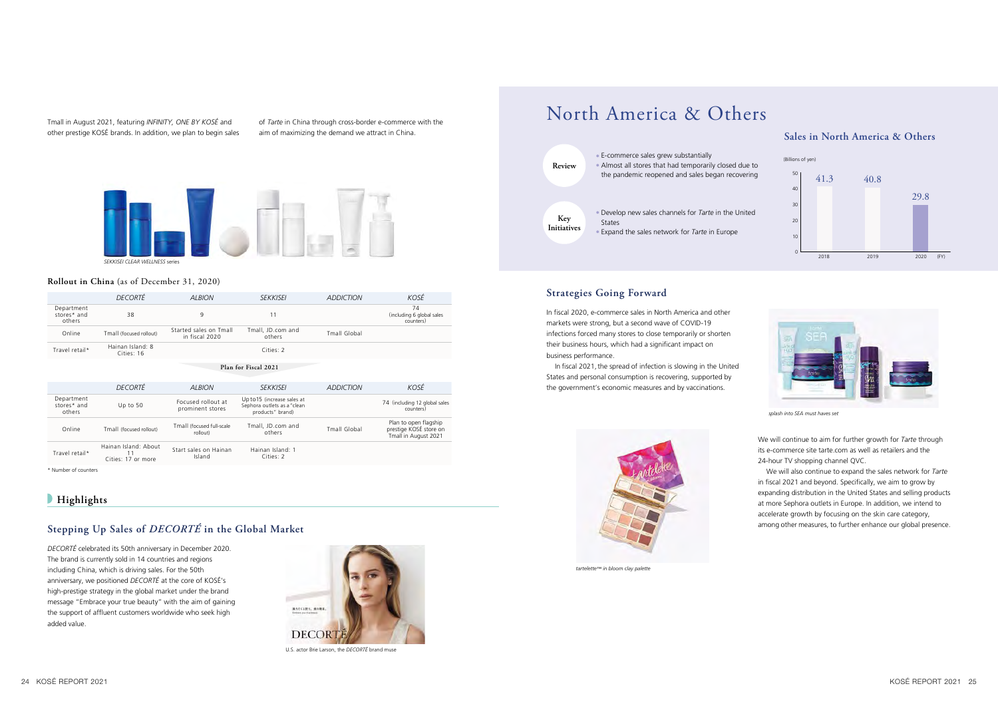## North America & Others



U.S. actor Brie Larson, the *DECORTÉ* brand muse

*DECORTÉ* celebrated its 50th anniversary in December 2020. The brand is currently sold in 14 countries and regions including China, which is driving sales. For the 50th anniversary, we positioned *DECORTÉ* at the core of KOSÉ's high-prestige strategy in the global market under the brand message "Embrace your true beauty" with the aim of gaining the support of affluent customers worldwide who seek high added value.

## **Stepping Up Sales of** *DECORTÉ* **in the Global Market**

## **Highlights**

|                                     | DECORTÉ                        | <b>ALBION</b>                            | <b>SEKKISEI</b>             | <b>ADDICTION</b>    | KOSÉ                                         |  |
|-------------------------------------|--------------------------------|------------------------------------------|-----------------------------|---------------------|----------------------------------------------|--|
| Department<br>stores* and<br>others | 38                             | 9                                        | 11                          |                     | 74<br>(including 6 global sales<br>counters) |  |
| Online                              | Tmall (focused rollout)        | Started sales on Tmall<br>in fiscal 2020 | Tmall, JD.com and<br>others | <b>Tmall Global</b> |                                              |  |
| Travel retail*                      | Hainan Island: 8<br>Cities: 16 | Cities: 2                                |                             |                     |                                              |  |
| Plan for Fiscal 2021                |                                |                                          |                             |                     |                                              |  |

| Department<br>stores* and<br>Up to $50$                            | Focused rollout at                    | Upto15 (increase sales at                       |              |                                                                         |
|--------------------------------------------------------------------|---------------------------------------|-------------------------------------------------|--------------|-------------------------------------------------------------------------|
| others                                                             | prominent stores                      | Sephora outlets as a "clean<br>products" brand) |              | 74 (including 12 global sales<br>counters)                              |
| Online<br>Tmall (focused rollout)                                  | Tmall (focused full-scale<br>rollout) | Tmall, JD.com and<br>others                     | Tmall Global | Plan to open flagship<br>prestige KOSÉ store on<br>Tmall in August 2021 |
| Hainan Island: About<br>Travel retail*<br>11<br>Cities: 17 or more | Start sales on Hainan<br>Island       | Hainan Island: 1<br>Cities: 2                   |              |                                                                         |

In fiscal 2020, e-commerce sales in North America and other markets were strong, but a second wave of COVID-19 infections forced many stores to close temporarily or shorten their business hours, which had a significant impact on business performance.

In fiscal 2021, the spread of infection is slowing in the United States and personal consumption is recovering, supported by the government's economic measures and by vaccinations.



## **Strategies Going Forward**

We will continue to aim for further growth for *Tarte* through its e-commerce site tarte.com as well as retailers and the 24-hour TV shopping channel QVC.

We will also continue to expand the sales network for *Tarte* in fiscal 2021 and beyond. Specifically, we aim to grow by expanding distribution in the United States and selling products at more Sephora outlets in Europe. In addition, we intend to accelerate growth by focusing on the skin care category, among other measures, to further enhance our global presence.

**Rollout in China** (as of December 31, 2020)





## **Sales in North America & Others**



*splash into SEA must haves set*

*tartelette™ in bloom clay palette*

\* Number of counters



Tmall in August 2021, featuring *INFINITY, ONE BY KOSÉ* and other prestige KOSÉ brands. In addition, we plan to begin sales of *Tarte* in China through cross-border e-commerce with the aim of maximizing the demand we attract in China.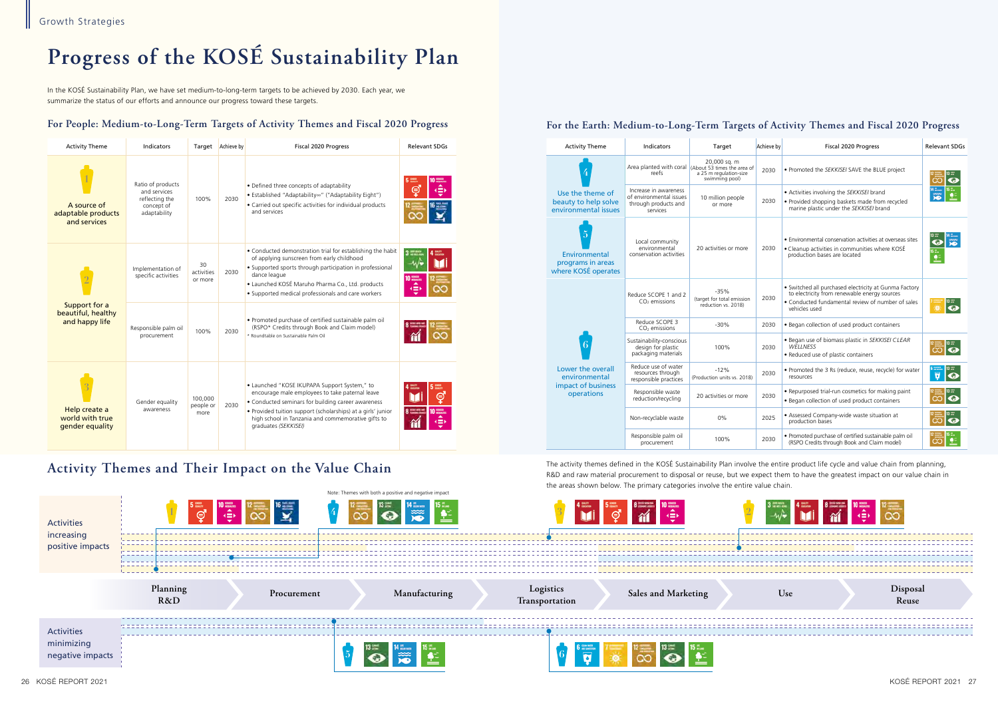## **Activity Themes and Their Impact on the Value Chain**

## Activities minimizing negative impacts Themes with both a positive and negative impact Activities increasing positive impacts **Planning R&D Manufacturing Logistics Examples Sales and Marketing Examples Use Disposal**<br>**Pransportation Reuse Procurement 1 4 3 2**  $\frac{5}{2}$  **6**  $\frac{1}{2}$  **6**  $\frac{1}{2}$  **6**  $\frac{1}{2}$

The activity themes defined in the KOSÉ Sustainability Plan involve the entire product life cycle and value chain from planning, R&D and raw material procurement to disposal or reuse, but we expect them to have the greatest impact on our value chain in the areas shown below. The primary categories involve the entire value chain.



In the KOSÉ Sustainability Plan, we have set medium-to-long-term targets to be achieved by 2030. Each year, we summarize the status of our efforts and announce our progress toward these targets.

# **Progress of the KOSÉ Sustainability Plan**

## **For People: Medium-to-Long-Term Targets of Activity Themes and Fiscal 2020 Progress For the Earth: Medium-to-Long-Term Targets of Activity Themes and Fiscal 2020 Progress**

| <b>Activity Theme</b>                                 | Indicators                                                                        | Target                       | Achieve by | Fiscal 2020 Progress                                                                                                                                                                                                                                                                                | <b>Relevant SDGs</b> |
|-------------------------------------------------------|-----------------------------------------------------------------------------------|------------------------------|------------|-----------------------------------------------------------------------------------------------------------------------------------------------------------------------------------------------------------------------------------------------------------------------------------------------------|----------------------|
| A source of<br>adaptable products<br>and services     | Ratio of products<br>and services<br>reflecting the<br>concept of<br>adaptability | 100%                         | 2030       | • Defined three concepts of adaptability<br>• Established "Adaptability or" ("Adaptability Eight")<br>• Carried out specific activities for individual products<br>and services                                                                                                                     |                      |
|                                                       | Implementation of<br>specific activities                                          | 30<br>activities<br>or more  | 2030       | • Conducted demonstration trial for establishing the habit<br>of applying sunscreen from early childhood<br>• Supported sports through participation in professional<br>dance league<br>• Launched KOSÉ Maruho Pharma Co., Ltd. products<br>• Supported medical professionals and care workers      |                      |
| Support for a<br>beautiful, healthy<br>and happy life | Responsible palm oil<br>procurement                                               | 100%                         | 2030       | . Promoted purchase of certified sustainable palm oil<br>(RSPO* Credits through Book and Claim model)<br>* Roundtable on Sustainable Palm Oil                                                                                                                                                       |                      |
| Help create a<br>world with true<br>gender equality   | Gender equality<br>awareness                                                      | 100,000<br>people or<br>more | 2030       | • Launched "KOSE IKUPAPA Support System," to<br>encourage male employees to take paternal leave<br>• Conducted seminars for building career awareness<br>• Provided tuition support (scholarships) at a girls' junior<br>high school in Tanzania and commemorative gifts to<br>graduates (SEKKISEI) |                      |

| <b>Activity Theme</b>                                                       | Indicators                                                                           | Target                                                                                  | Achieve by | Fiscal 2020 Progress                                                                                                                                                        | <b>Relevant SDGs</b> |
|-----------------------------------------------------------------------------|--------------------------------------------------------------------------------------|-----------------------------------------------------------------------------------------|------------|-----------------------------------------------------------------------------------------------------------------------------------------------------------------------------|----------------------|
| 4                                                                           | Area planted with coral<br>reefs                                                     | 20,000 sq. m<br>(About 53 times the area of<br>a 25 m regulation-size<br>swimming pool) | 2030       | . Promoted the SEKKISEI SAVE the BLUE project                                                                                                                               |                      |
| Use the theme of<br>beauty to help solve<br>environmental issues            | Increase in awareness<br>of environmental issues<br>through products and<br>services | 10 million people<br>or more                                                            | 2030       | • Activities involving the SEKKISEI brand<br>. Provided shopping baskets made from recycled<br>marine plastic under the SEKKISEI brand                                      |                      |
| $\overline{5}$<br>Environmental<br>programs in areas<br>where KOSÉ operates | Local community<br>environmental<br>conservation activities                          | 20 activities or more                                                                   | 2030       | • Environmental conservation activities at overseas sites<br>• Cleanup activities in communities where KOSÉ<br>production bases are located                                 |                      |
|                                                                             | Reduce SCOPE 1 and 2<br>$CO2$ emissions                                              | $-35%$<br>(target for total emission<br>reduction vs. 2018)                             | 2030       | · Switched all purchased electricity at Gunma Factory<br>to electricity from renewable energy sources<br>• Conducted fundamental review of number of sales<br>vehicles used |                      |
|                                                                             | Reduce SCOPE 3<br>CO <sub>2</sub> emissions                                          | $-30%$                                                                                  | 2030       | • Began collection of used product containers                                                                                                                               |                      |
| 6                                                                           | Sustainability-conscious<br>design for plastic<br>packaging materials                | 100%                                                                                    | 2030       | . Began use of biomass plastic in SEKKISEI CLEAR<br><b>WELLNESS</b><br>• Reduced use of plastic containers                                                                  |                      |
| Lower the overall<br>environmental                                          | Reduce use of water<br>resources through<br>responsible practices                    | $-12%$<br>(Production units vs. 2018)                                                   | 2030       | . Promoted the 3 Rs (reduce, reuse, recycle) for water<br>resources                                                                                                         | o                    |
| impact of business<br>operations                                            | Responsible waste<br>reduction/recycling                                             | 20 activities or more                                                                   | 2030       | . Repurposed trial-run cosmetics for making paint<br>• Began collection of used product containers                                                                          |                      |
|                                                                             | Non-recyclable waste                                                                 | 0%                                                                                      | 2025       | • Assessed Company-wide waste situation at<br>production bases                                                                                                              |                      |
|                                                                             | Responsible palm oil<br>procurement                                                  | 100%                                                                                    | 2030       | . Promoted purchase of certified sustainable palm oil<br>(RSPO Credits through Book and Claim model)                                                                        |                      |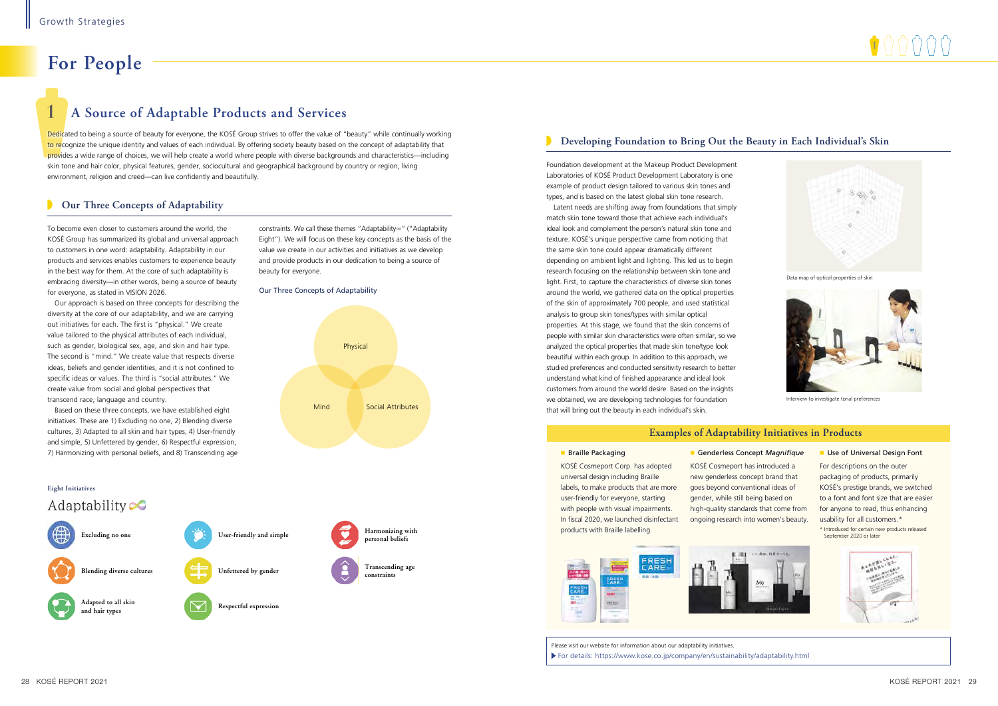## **For People**

## **1 A Source of Adaptable Products and Services**

Dedicated to being a source of beauty for everyone, the KOSÉ Group strives to offer the value of "beauty" while continually working to recognize the unique identity and values of each individual. By offering society beauty based on the concept of adaptability that provides a wide range of choices, we will help create a world where people with diverse backgrounds and characteristics—including skin tone and hair color, physical features, gender, sociocultural and geographical background by country or region, living environment, religion and creed—can live confidently and beautifully.

## **Examples of Adaptability Initiatives in Products**

#### ■ Braille Packaging

Foundation development at the Makeup Product Development Laboratories of KOSÉ Product Development Laboratory is one example of product design tailored to various skin tones and types, and is based on the latest global skin tone research.

> ■ Genderless Concept *Magnifique* KOSÉ Cosmeport has introduced a new genderless concept brand that goes beyond conventional ideas of gender, while still being based on high-quality standards that come from ongoing research into women's beauty.

#### ■ Use of Universal Design Font

Latent needs are shifting away from foundations that simply match skin tone toward those that achieve each individual's ideal look and complement the person's natural skin tone and texture. KOSÉ's unique perspective came from noticing that the same skin tone could appear dramatically different depending on ambient light and lighting. This led us to begin research focusing on the relationship between skin tone and light. First, to capture the characteristics of diverse skin tones around the world, we gathered data on the optical properties of the skin of approximately 700 people, and used statistical analysis to group skin tones/types with similar optical properties. At this stage, we found that the skin concerns of people with similar skin characteristics were often similar, so we analyzed the optical properties that made skin tone/type look beautiful within each group. In addition to this approach, we studied preferences and conducted sensitivity research to better understand what kind of finished appearance and ideal look customers from around the world desire. Based on the insights we obtained, we are developing technologies for foundation that will bring out the beauty in each individual's skin.

KOSÉ Cosmeport Corp. has adopted universal design including Braille labels, to make products that are more user-friendly for everyone, starting with people with visual impairments. In fiscal 2020, we launched disinfectant products with Braille labelling.



For descriptions on the outer packaging of products, primarily KOSÉ's prestige brands, we switched to a font and font size that are easier for anyone to read, thus enhancing usability for all customers.\*

## **Our Three Concepts of Adaptability**

To become even closer to customers around the world, the KOSÉ Group has summarized its global and universal approach to customers in one word: adaptability. Adaptability in our products and services enables customers to experience beauty in the best way for them. At the core of such adaptability is embracing diversity—in other words, being a source of beauty for everyone, as stated in VISION 2026.

Our approach is based on three concepts for describing the diversity at the core of our adaptability, and we are carrying out initiatives for each. The first is "physical." We create value tailored to the physical attributes of each individual, such as gender, biological sex, age, and skin and hair type. The second is "mind." We create value that respects diverse ideas, beliefs and gender identities, and it is not confined to specific ideas or values. The third is "social attributes." We create value from social and global perspectives that transcend race, language and country.

Based on these three concepts, we have established eight initiatives. These are 1) Excluding no one, 2) Blending diverse cultures, 3) Adapted to all skin and hair types, 4) User-friendly and simple, 5) Unfettered by gender, 6) Respectful expression, 7) Harmonizing with personal beliefs, and 8) Transcending age

constraints. We call these themes "Adaptability∞" ("Adaptability Eight"). We will focus on these key concepts as the basis of the value we create in our activities and initiatives as we develop and provide products in our dedication to being a source of beauty for everyone.

# **1**

#### **Eight Initiatives**

## Adaptability $\infty$



Interview to investigate tonal preferences

\* Introduced for certain new products released





## **Developing Foundation to Bring Out the Beauty in Each Individual's Skin**

**Harmonizing with personal beliefs**

**Transcending age constraints**



Data map of optical properties of skin

### Our Three Concepts of Adaptability



Please visit our website for information about our adaptability initiatives. For details: https://www.kose.co.jp/company/en/sustainability/adaptability.html

**FRES**<br>CARE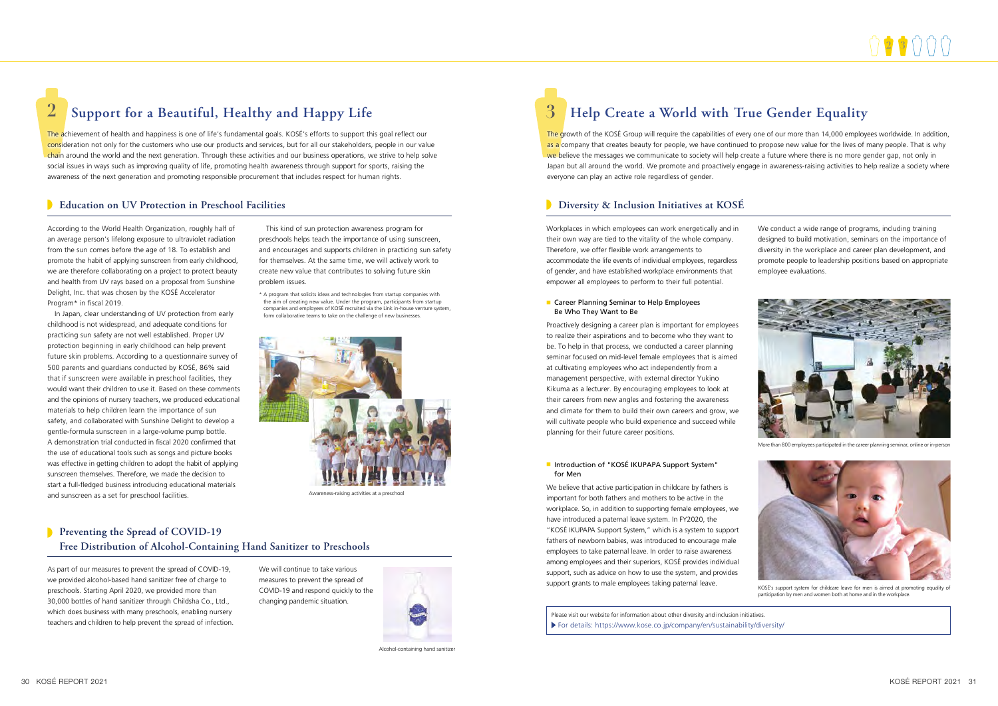## **2 Support for a Beautiful, Healthy and Happy Life**

The achievement of health and happiness is one of life's fundamental goals. KOSÉ's efforts to support this goal reflect our consideration not only for the customers who use our products and services, but for all our stakeholders, people in our value chain around the world and the next generation. Through these activities and our business operations, we strive to help solve social issues in ways such as improving quality of life, promoting health awareness through support for sports, raising the awareness of the next generation and promoting responsible procurement that includes respect for human rights.

### **Education on UV Protection in Preschool Facilities**

According to the World Health Organization, roughly half of an average person's lifelong exposure to ultraviolet radiation from the sun comes before the age of 18. To establish and promote the habit of applying sunscreen from early childhood, we are therefore collaborating on a project to protect beauty and health from UV rays based on a proposal from Sunshine Delight, Inc. that was chosen by the KOSÉ Accelerator Program\* in fiscal 2019.

In Japan, clear understanding of UV protection from early childhood is not widespread, and adequate conditions for practicing sun safety are not well established. Proper UV protection beginning in early childhood can help prevent future skin problems. According to a questionnaire survey of 500 parents and guardians conducted by KOSÉ, 86% said that if sunscreen were available in preschool facilities, they would want their children to use it. Based on these comments and the opinions of nursery teachers, we produced educational materials to help children learn the importance of sun safety, and collaborated with Sunshine Delight to develop a gentle-formula sunscreen in a large-volume pump bottle. A demonstration trial conducted in fiscal 2020 confirmed that the use of educational tools such as songs and picture books was effective in getting children to adopt the habit of applying sunscreen themselves. Therefore, we made the decision to start a full-fledged business introducing educational materials and sunscreen as a set for preschool facilities.

## **Preventing the Spread of COVID-19 Free Distribution of Alcohol-Containing Hand Sanitizer to Preschools**

This kind of sun protection awareness program for preschools helps teach the importance of using sunscreen, and encourages and supports children in practicing sun safety for themselves. At the same time, we will actively work to create new value that contributes to solving future skin problem issues.

#### ■ Introduction of "KOSÉ IKUPAPA Support System" for Men

\* A program that solicits ideas and technologies from startup companies with the aim of creating new value. Under the program, participants from startup companies and employees of KOSÉ recruited via the Link in-house venture system, form collaborative teams to take on the challenge of new businesses.

> We believe that active participation in childcare by fathers is important for both fathers and mothers to be active in the workplace. So, in addition to supporting female employees, we have introduced a paternal leave system. In FY2020, the "KOSÉ IKUPAPA Support System," which is a system to support fathers of newborn babies, was introduced to encourage male employees to take paternal leave. In order to raise awareness among employees and their superiors, KOSÉ provides individual support, such as advice on how to use the system, and provides support grants to male employees taking paternal leave.



### ■ Career Planning Seminar to Help Employees Be Who They Want to Be

## **3 Help Create a World with True Gender Equality**

### **Diversity & Inclusion Initiatives at KOSÉ**

Workplaces in which employees can work energetically and in their own way are tied to the vitality of the whole company. Therefore, we offer flexible work arrangements to accommodate the life events of individual employees, regardless of gender, and have established workplace environments that empower all employees to perform to their full potential.



KOSÉ's support system for childcare leave for men is aimed at promoting equality of participation by men and women both at home and in the workplace

We conduct a wide range of programs, including training designed to build motivation, seminars on the importance of diversity in the workplace and career plan development, and promote people to leadership positions based on appropriate employee evaluations.

The growth of the KOSÉ Group will require the capabilities of every one of our more than 14,000 employees worldwide. In addition, as a company that creates beauty for people, we have continued to propose new value for the lives of many people. That is why we believe the messages we communicate to society will help create a future where there is no more gender gap, not only in Japan but all around the world. We promote and proactively engage in awareness-raising activities to help realize a society where everyone can play an active role regardless of gender.

As part of our measures to prevent the spread of COVID-19, we provided alcohol-based hand sanitizer free of charge to preschools. Starting April 2020, we provided more than 30,000 bottles of hand sanitizer through Childsha Co., Ltd., which does business with many preschools, enabling nursery teachers and children to help prevent the spread of infection. We will continue to take various measures to prevent the spread of COVID-19 and respond quickly to the changing pandemic situation.





Awareness-raising activities at a preschool

Alcohol-containing hand sanitizer

Please visit our website for information about other diversity and inclusion initiatives. For details: https://www.kose.co.jp/company/en/sustainability/diversity/

Proactively designing a career plan is important for employees to realize their aspirations and to become who they want to be. To help in that process, we conducted a career planning seminar focused on mid-level female employees that is aimed at cultivating employees who act independently from a management perspective, with external director Yukino Kikuma as a lecturer. By encouraging employees to look at their careers from new angles and fostering the awareness and climate for them to build their own careers and grow, we will cultivate people who build experience and succeed while planning for their future career positions.



More than 800 employees participated in the career planning seminar, online or in-person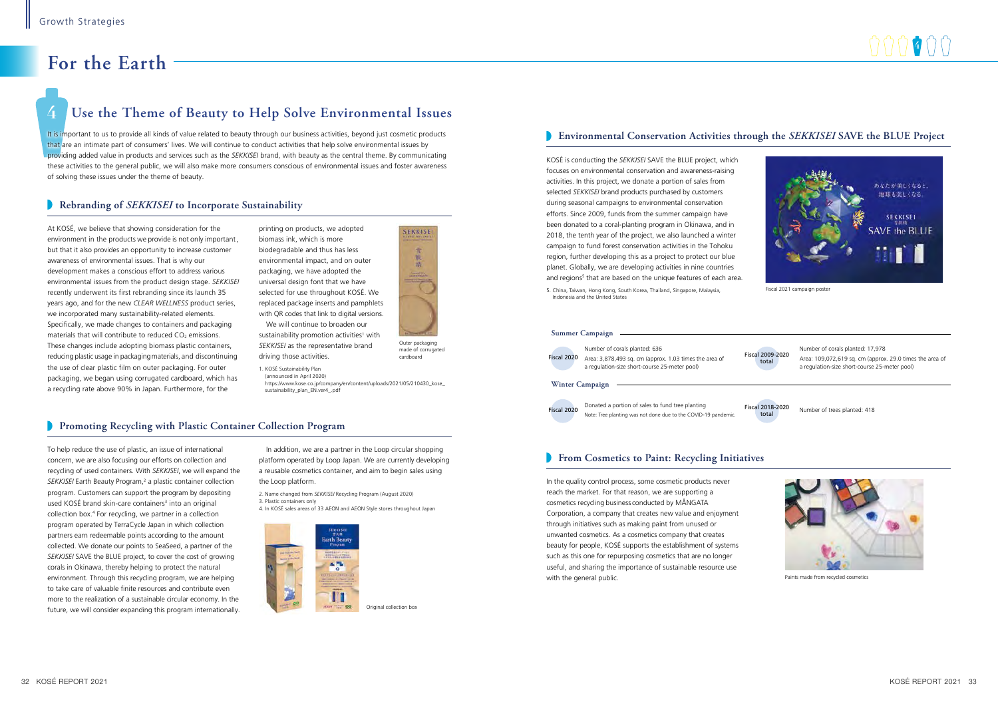## **For the Earth**

# **4**



## **4 Use the Theme of Beauty to Help Solve Environmental Issues**

It is important to us to provide all kinds of value related to beauty through our business activities, beyond just cosmetic products that are an intimate part of consumers' lives. We will continue to conduct activities that help solve environmental issues by providing added value in products and services such as the *SEKKISEI* brand, with beauty as the central theme. By communicating these activities to the general public, we will also make more consumers conscious of environmental issues and foster awareness of solving these issues under the theme of beauty.

## **Rebranding of** *SEKKISEI* **to Incorporate Sustainability**

At KOSÉ, we believe that showing consideration for the environment in the products we provide is not only important , but that it also provides an opportunity to increase customer awareness of environmental issues. That is why our development makes a conscious effort to address various environmental issues from the product design stage. *SEKKISEI* recently underwent its first rebranding since its launch 35 years ago, and for the new *CLEAR WELLNESS* product series, we incorporated many sustainability-related elements. Specifically, we made changes to containers and packaging materials that will contribute to reduced  $CO<sub>2</sub>$  emissions. These changes include adopting biomass plastic containers, reducing plastic usage in packaging materials, and discontinuing the use of clear plastic film on outer packaging. For outer packaging, we began using corrugated cardboard, which has a recycling rate above 90% in Japan. Furthermore, for the

printing on products, we adopted biomass ink, which is more biodegradable and thus has less environmental impact, and on outer packaging, we have adopted the universal design font that we have selected for use throughout KOSÉ. We replaced package inserts and pamphlets with QR codes that link to digital versions.

We will continue to broaden our sustainability promotion activities<sup>1</sup> with *SEKKISEI* as the representative brand driving those activities.

1. KOSÉ Sustainability Plan (announced in April 2020)

https://www.kose.co.jp/company/en/content/uploads/2021/05/210430\_kose\_ sustainability\_plan\_EN.ver4\_.pdf

Outer packaging made of corrugated cardboard

SEKKISE

肌损

## **Promoting Recycling with Plastic Container Collection Program**

KOSÉ is conducting the *SEKKISEI* SAVE the BLUE project, which focuses on environmental conservation and awareness-raising activities. In this project, we donate a portion of sales from selected *SEKKISEI* brand products purchased by customers during seasonal campaigns to environmental conservation efforts. Since 2009, funds from the summer campaign have been donated to a coral-planting program in Okinawa, and in 2018, the tenth year of the project, we also launched a winter campaign to fund forest conservation activities in the Tohoku region, further developing this as a project to protect our blue planet. Globally, we are developing activities in nine countries and regions<sup>5</sup> that are based on the unique features of each area.

To help reduce the use of plastic, an issue of international concern, we are also focusing our efforts on collection and recycling of used containers. With *SEKKISEI*, we will expand the SEKKISEI Earth Beauty Program,<sup>2</sup> a plastic container collection program. Customers can support the program by depositing used KOSÉ brand skin-care containers<sup>3</sup> into an original collection box.4 For recycling, we partner in a collection program operated by TerraCycle Japan in which collection partners earn redeemable points according to the amount collected. We donate our points to SeaSeed, a partner of the *SEKKISEI* SAVE the BLUE project, to cover the cost of growing corals in Okinawa, thereby helping to protect the natural environment. Through this recycling program, we are helping to take care of valuable finite resources and contribute even more to the realization of a sustainable circular economy. In the future, we will consider expanding this program internationally.

In addition, we are a partner in the Loop circular shopping platform operated by Loop Japan. We are currently developing a reusable cosmetics container, and aim to begin sales using the Loop platform.

2. Name changed from *SEKKISEI* Recycling Program (August 2020)

- 3. Plastic containers only
- 4. In KOSÉ sales areas of 33 AEON and AEON Style stores throughout Japan



Original collection box

In the quality control process, some cosmetic products never reach the market. For that reason, we are supporting a cosmetics recycling business conducted by MÅNGATA Corporation, a company that creates new value and enjoyment through initiatives such as making paint from unused or unwanted cosmetics. As a cosmetics company that creates beauty for people, KOSÉ supports the establishment of systems such as this one for repurposing cosmetics that are no longer useful, and sharing the importance of sustainable resource use with the general public.

## **Environmental Conservation Activities through the** *SEKKISEI* **SAVE the BLUE Project**

Fiscal 2021 campaign poster



Paints made from recycled cosmetics



## **From Cosmetics to Paint: Recycling Initiatives**

Number of corals planted: 17,978 Area: 109,072,619 sq. cm (approx. 29.0 times the area of a regulation-size short-course 25-meter pool)

Number of trees planted: 418

5. China, Taiwan, Hong Kong, South Korea, Thailand, Singapore, Malaysia, Indonesia and the United States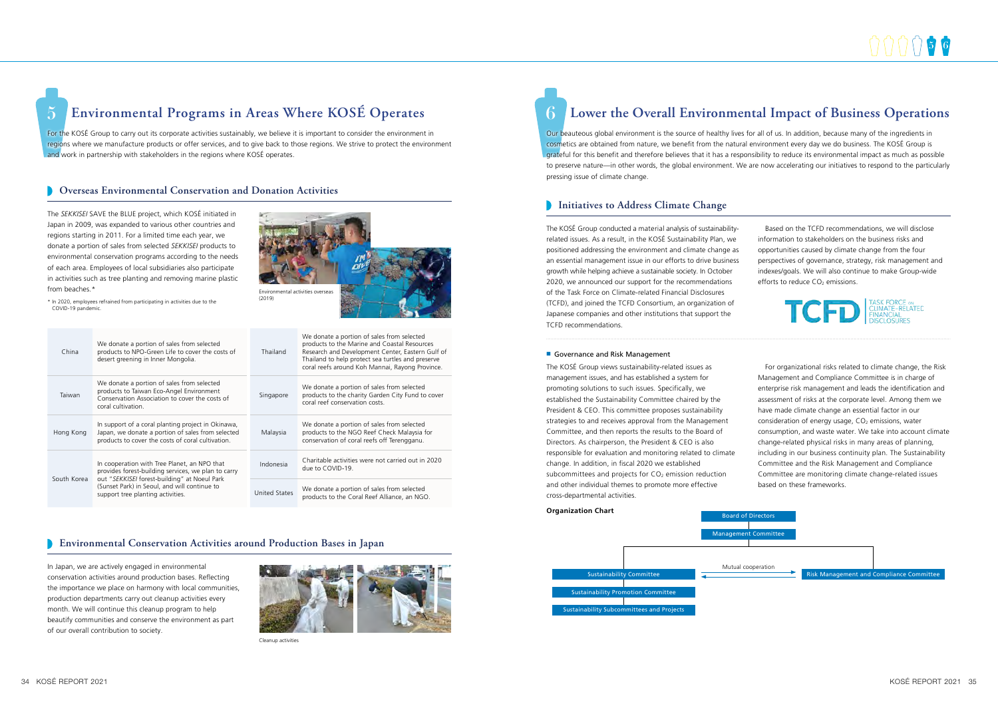# **6 Lower the Overall Environmental Impact of Business Operations**

Our beauteous global environment is the source of healthy lives for all of us. In addition, because many of the ingredients in cosmetics are obtained from nature, we benefit from the natural environment every day we do business. The KOSÉ Group is grateful for this benefit and therefore believes that it has a responsibility to reduce its environmental impact as much as possible to preserve nature—in other words, the global environment. We are now accelerating our initiatives to respond to the particularly pressing issue of climate change.

The KOSÉ Group views sustainability-related issues as management issues, and has established a system for promoting solutions to such issues. Specifically, we established the Sustainability Committee chaired by the President & CEO. This committee proposes sustainability strategies to and receives approval from the Management Committee, and then reports the results to the Board of Directors. As chairperson, the President & CEO is also responsible for evaluation and monitoring related to climate change. In addition, in fiscal 2020 we established subcommittees and projects for  $CO<sub>2</sub>$  emission reduction and other individual themes to promote more effective cross-departmental activities.

For the KOSÉ Group to carry out its corporate activities sustainably, we believe it is important to consider the environment in regions where we manufacture products or offer services, and to give back to those regions. We strive to protect the environment and work in partnership with stakeholders in the regions where KOSÉ operates.

> For organizational risks related to climate change, the Risk Management and Compliance Committee is in charge of enterprise risk management and leads the identification and assessment of risks at the corporate level. Among them we have made climate change an essential factor in our consideration of energy usage,  $CO<sub>2</sub>$  emissions, water consumption, and waste water. We take into account climate change-related physical risks in many areas of planning, including in our business continuity plan. The Sustainability Committee and the Risk Management and Compliance Committee are monitoring climate change-related issues based on these frameworks.

| irectors         |                                                 |
|------------------|-------------------------------------------------|
|                  |                                                 |
|                  |                                                 |
| <b>Committee</b> |                                                 |
|                  |                                                 |
|                  |                                                 |
|                  |                                                 |
|                  |                                                 |
| beration         |                                                 |
|                  | <b>Risk Management and Compliance Committee</b> |

Based on the TCFD recommendations, we will disclose information to stakeholders on the business risks and opportunities caused by climate change from the four perspectives of governance, strategy, risk management and indexes/goals. We will also continue to make Group-wide efforts to reduce  $CO<sub>2</sub>$  emissions.





## **5 Environmental Programs in Areas Where KOSÉ Operates**

## **Overseas Environmental Conservation and Donation Activities**

The *SEKKISEI* SAVE the BLUE project, which KOSÉ initiated in Japan in 2009, was expanded to various other countries and regions starting in 2011. For a limited time each year, we donate a portion of sales from selected *SEKKISEI* products to environmental conservation programs according to the needs of each area. Employees of local subsidiaries also participate in activities such as tree planting and removing marine plastic from beaches.\*

\* In 2020, employees refrained from participating in activities due to the COVID-19 pandemic.

## **Initiatives to Address Climate Change**

The KOSÉ Group conducted a material analysis of sustainabilityrelated issues. As a result, in the KOSÉ Sustainability Plan, we positioned addressing the environment and climate change as an essential management issue in our efforts to drive business growth while helping achieve a sustainable society. In October 2020, we announced our support for the recommendations of the Task Force on Climate-related Financial Disclosures (TCFD), and joined the TCFD Consortium, an organization of Japanese companies and other institutions that support the TCFD recommendations.

#### ■ Governance and Risk Management

## **Environmental Conservation Activities around Production Bases in Japan**

In Japan, we are actively engaged in environmental conservation activities around production bases. Reflecting the importance we place on harmony with local communities, production departments carry out cleanup activities every month. We will continue this cleanup program to help beautify communities and conserve the environment as part of our overall contribution to society.





Cleanup activities

| China       | We donate a portion of sales from selected<br>products to NPO-Green Life to cover the costs of<br>desert greening in Inner Mongolia.                           | Thailand      | We donate a portion of sales from selected<br>products to the Marine and Coastal Resources<br>Research and Development Center, Eastern Gulf of<br>Thailand to help protect sea turtles and preserve<br>coral reefs around Koh Mannai, Rayong Province. |
|-------------|----------------------------------------------------------------------------------------------------------------------------------------------------------------|---------------|--------------------------------------------------------------------------------------------------------------------------------------------------------------------------------------------------------------------------------------------------------|
| Taiwan      | We donate a portion of sales from selected<br>products to Taiwan Eco-Angel Environment<br>Conservation Association to cover the costs of<br>coral cultivation. | Singapore     | We donate a portion of sales from selected<br>products to the charity Garden City Fund to cover<br>coral reef conservation costs.                                                                                                                      |
| Hong Kong   | In support of a coral planting project in Okinawa,<br>Japan, we donate a portion of sales from selected<br>products to cover the costs of coral cultivation.   | Malaysia      | We donate a portion of sales from selected<br>products to the NGO Reef Check Malaysia for<br>conservation of coral reefs off Terengganu.                                                                                                               |
| South Korea | In cooperation with Tree Planet, an NPO that<br>provides forest-building services, we plan to carry                                                            | Indonesia     | Charitable activities were not carried out in 2020<br>due to COVID-19.                                                                                                                                                                                 |
|             | out "SEKKISEI forest-building" at Noeul Park<br>(Sunset Park) in Seoul, and will continue to<br>support tree planting activities.                              | United States | We donate a portion of sales from selected<br>products to the Coral Reef Alliance, an NGO.                                                                                                                                                             |



### **Organization Chart**